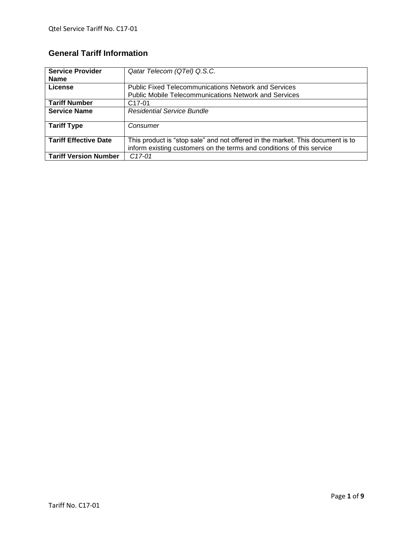# **General Tariff Information**

| <b>Service Provider</b>      | Qatar Telecom (QTel) Q.S.C.                                                    |  |  |
|------------------------------|--------------------------------------------------------------------------------|--|--|
| <b>Name</b>                  |                                                                                |  |  |
| License                      | <b>Public Fixed Telecommunications Network and Services</b>                    |  |  |
|                              | <b>Public Mobile Telecommunications Network and Services</b>                   |  |  |
| <b>Tariff Number</b>         | C <sub>17</sub> -01                                                            |  |  |
| <b>Service Name</b>          | <b>Residential Service Bundle</b>                                              |  |  |
|                              |                                                                                |  |  |
| <b>Tariff Type</b>           | Consumer                                                                       |  |  |
|                              |                                                                                |  |  |
| <b>Tariff Effective Date</b> | This product is "stop sale" and not offered in the market. This document is to |  |  |
|                              | inform existing customers on the terms and conditions of this service          |  |  |
| <b>Tariff Version Number</b> | $C17-01$                                                                       |  |  |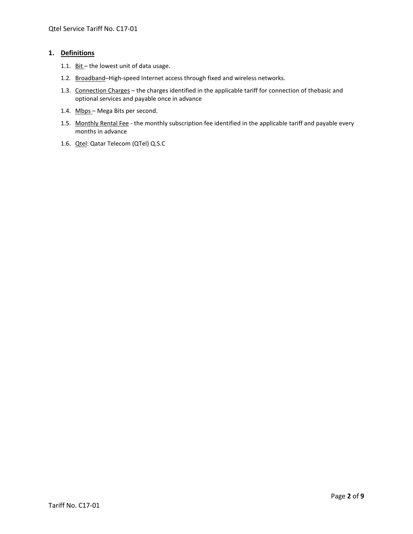# **1. Definitions**

- 1.1.  $Bit$  the lowest unit of data usage.</u>
- 1.2. Broadband-High-speed Internet access through fixed and wireless networks.
- 1.3. Connection Charges the charges identified in the applicable tariff for connection of thebasic and optional services and payable once in advance
- 1.4. Mbps Mega Bits per second.
- 1.5. Monthly Rental Fee the monthly subscription fee identified in the applicable tariff and payable every months in advance
- 1.6. Qtel: Qatar Telecom (QTel) Q.S.C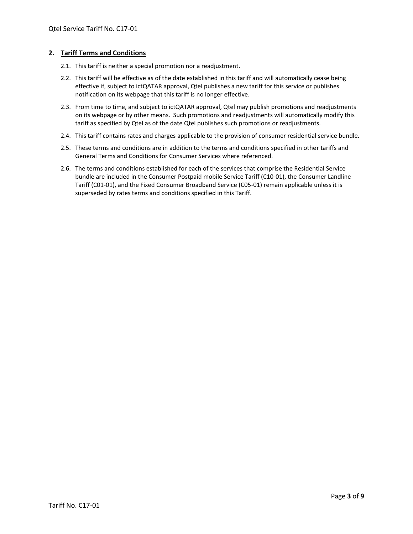### **2. Tariff Terms and Conditions**

- 2.1. This tariff is neither a special promotion nor a readjustment.
- 2.2. This tariff will be effective as of the date established in this tariff and will automatically cease being effective if, subject to ictQATAR approval, Qtel publishes a new tariff for this service or publishes notification on its webpage that this tariff is no longer effective.
- 2.3. From time to time, and subject to ictQATAR approval, Qtel may publish promotions and readjustments on its webpage or by other means. Such promotions and readjustments will automatically modify this tariff as specified by Qtel as of the date Qtel publishes such promotions or readjustments.
- 2.4. This tariff contains rates and charges applicable to the provision of consumer residential service bundle.
- 2.5. These terms and conditions are in addition to the terms and conditions specified in other tariffs and General Terms and Conditions for Consumer Services where referenced.
- 2.6. The terms and conditions established for each of the services that comprise the Residential Service bundle are included in the Consumer Postpaid mobile Service Tariff (C10-01), the Consumer Landline Tariff (C01-01), and the Fixed Consumer Broadband Service (C05-01) remain applicable unless it is superseded by rates terms and conditions specified in this Tariff.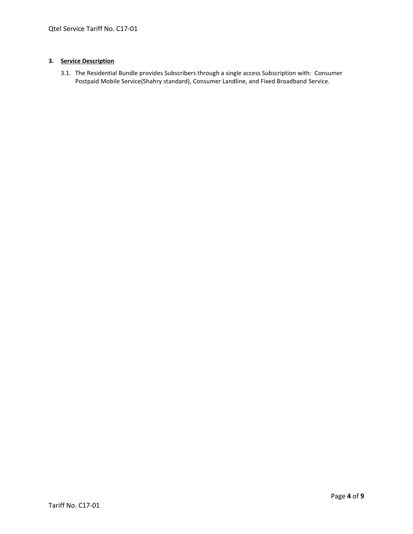#### **3. Service Description**

3.1. The Residential Bundle provides Subscribers through a single access Subscription with: Consumer Postpaid Mobile Service(Shahry standard), Consumer Landline, and Fixed Broadband Service.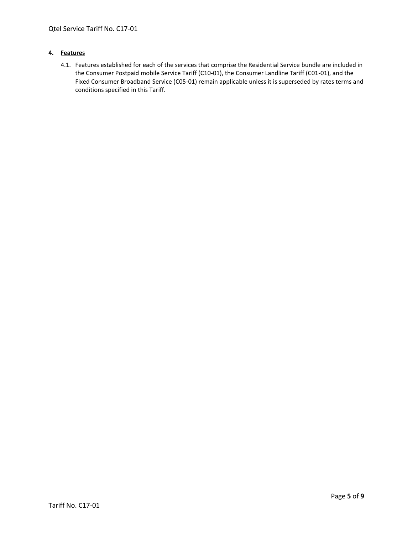#### **4. Features**

4.1. Features established for each of the services that comprise the Residential Service bundle are included in the Consumer Postpaid mobile Service Tariff (C10-01), the Consumer Landline Tariff (C01-01), and the Fixed Consumer Broadband Service (C05-01) remain applicable unless it is superseded by rates terms and conditions specified in this Tariff.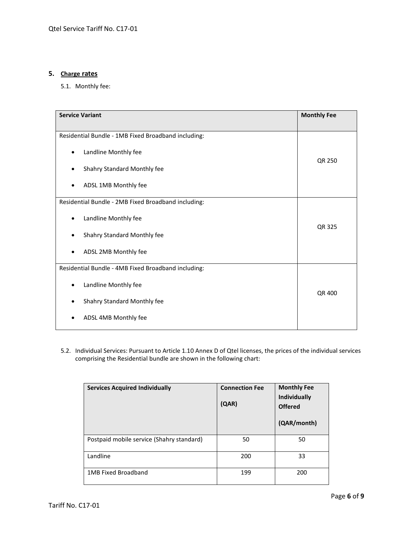# **5. Charge rates**

5.1. Monthly fee:

| <b>Service Variant</b>                              | <b>Monthly Fee</b> |
|-----------------------------------------------------|--------------------|
|                                                     |                    |
| Residential Bundle - 1MB Fixed Broadband including: |                    |
| Landline Monthly fee<br>٠                           | QR 250             |
| Shahry Standard Monthly fee                         |                    |
| ADSL 1MB Monthly fee                                |                    |
| Residential Bundle - 2MB Fixed Broadband including: |                    |
| Landline Monthly fee<br>٠                           | <b>QR 325</b>      |
| Shahry Standard Monthly fee                         |                    |
| ADSL 2MB Monthly fee                                |                    |
| Residential Bundle - 4MB Fixed Broadband including: |                    |
| Landline Monthly fee                                | QR 400             |
| Shahry Standard Monthly fee<br>٠                    |                    |
| ADSL 4MB Monthly fee                                |                    |

5.2. Individual Services: Pursuant to Article 1.10 Annex D of Qtel licenses, the prices of the individual services comprising the Residential bundle are shown in the following chart:

| <b>Services Acquired Individually</b>     | <b>Connection Fee</b><br>(QAR) | <b>Monthly Fee</b><br><b>Individually</b><br><b>Offered</b><br>(QAR/month) |
|-------------------------------------------|--------------------------------|----------------------------------------------------------------------------|
| Postpaid mobile service (Shahry standard) | 50                             | 50                                                                         |
| Landline                                  | 200                            | 33                                                                         |
| 1MB Fixed Broadband                       | 199                            | 200                                                                        |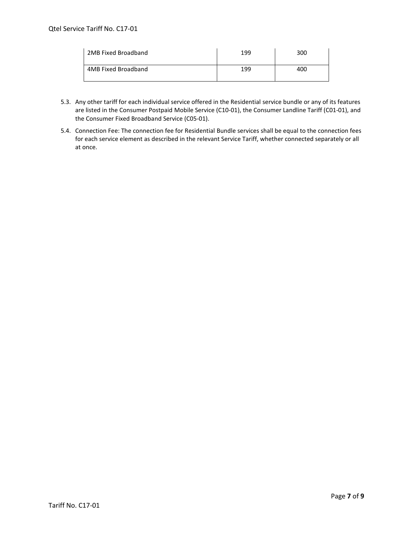| 2MB Fixed Broadband | 199 | 300 |
|---------------------|-----|-----|
| 4MB Fixed Broadband | 199 | 400 |

- 5.3. Any other tariff for each individual service offered in the Residential service bundle or any of its features are listed in the Consumer Postpaid Mobile Service (C10-01), the Consumer Landline Tariff (C01-01), and the Consumer Fixed Broadband Service (C05-01).
- 5.4. Connection Fee: The connection fee for Residential Bundle services shall be equal to the connection fees for each service element as described in the relevant Service Tariff, whether connected separately or all at once.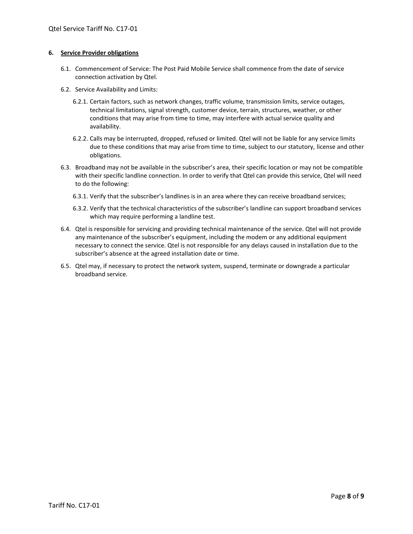#### **6. Service Provider obligations**

- 6.1. Commencement of Service: The Post Paid Mobile Service shall commence from the date of service connection activation by Qtel.
- 6.2. Service Availability and Limits:
	- 6.2.1. Certain factors, such as network changes, traffic volume, transmission limits, service outages, technical limitations, signal strength, customer device, terrain, structures, weather, or other conditions that may arise from time to time, may interfere with actual service quality and availability.
	- 6.2.2. Calls may be interrupted, dropped, refused or limited. Qtel will not be liable for any service limits due to these conditions that may arise from time to time, subject to our statutory, license and other obligations.
- 6.3. Broadband may not be available in the subscriber's area, their specific location or may not be compatible with their specific landline connection. In order to verify that Qtel can provide this service, Qtel will need to do the following:
	- 6.3.1. Verify that the subscriber's landlines is in an area where they can receive broadband services;
	- 6.3.2. Verify that the technical characteristics of the subscriber's landline can support broadband services which may require performing a landline test.
- 6.4. Qtel is responsible for servicing and providing technical maintenance of the service. Qtel will not provide any maintenance of the subscriber's equipment, including the modem or any additional equipment necessary to connect the service. Qtel is not responsible for any delays caused in installation due to the subscriber's absence at the agreed installation date or time.
- 6.5. Qtel may, if necessary to protect the network system, suspend, terminate or downgrade a particular broadband service.